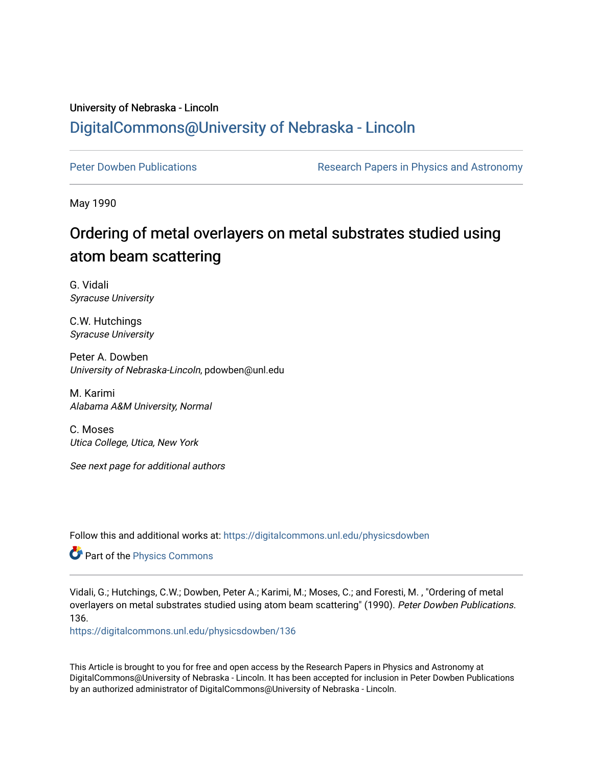## University of Nebraska - Lincoln [DigitalCommons@University of Nebraska - Lincoln](https://digitalcommons.unl.edu/)

[Peter Dowben Publications](https://digitalcommons.unl.edu/physicsdowben) **Research Papers in Physics and Astronomy** 

May 1990

# Ordering of metal overlayers on metal substrates studied using atom beam scattering

G. Vidali Syracuse University

C.W. Hutchings Syracuse University

Peter A. Dowben University of Nebraska-Lincoln, pdowben@unl.edu

M. Karimi Alabama A&M University, Normal

C. Moses Utica College, Utica, New York

See next page for additional authors

Follow this and additional works at: [https://digitalcommons.unl.edu/physicsdowben](https://digitalcommons.unl.edu/physicsdowben?utm_source=digitalcommons.unl.edu%2Fphysicsdowben%2F136&utm_medium=PDF&utm_campaign=PDFCoverPages) 

**Part of the [Physics Commons](http://network.bepress.com/hgg/discipline/193?utm_source=digitalcommons.unl.edu%2Fphysicsdowben%2F136&utm_medium=PDF&utm_campaign=PDFCoverPages)** 

Vidali, G.; Hutchings, C.W.; Dowben, Peter A.; Karimi, M.; Moses, C.; and Foresti, M. , "Ordering of metal overlayers on metal substrates studied using atom beam scattering" (1990). Peter Dowben Publications. 136.

[https://digitalcommons.unl.edu/physicsdowben/136](https://digitalcommons.unl.edu/physicsdowben/136?utm_source=digitalcommons.unl.edu%2Fphysicsdowben%2F136&utm_medium=PDF&utm_campaign=PDFCoverPages) 

This Article is brought to you for free and open access by the Research Papers in Physics and Astronomy at DigitalCommons@University of Nebraska - Lincoln. It has been accepted for inclusion in Peter Dowben Publications by an authorized administrator of DigitalCommons@University of Nebraska - Lincoln.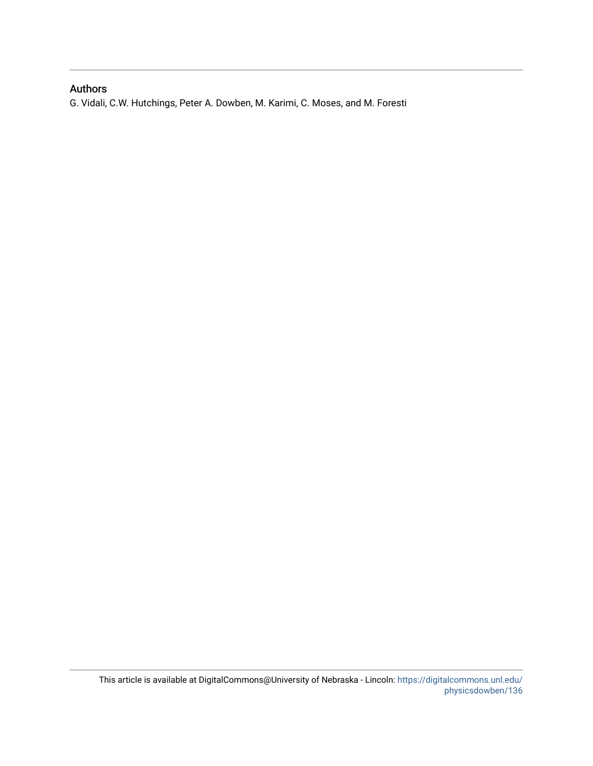### Authors

G. Vidali, C.W. Hutchings, Peter A. Dowben, M. Karimi, C. Moses, and M. Foresti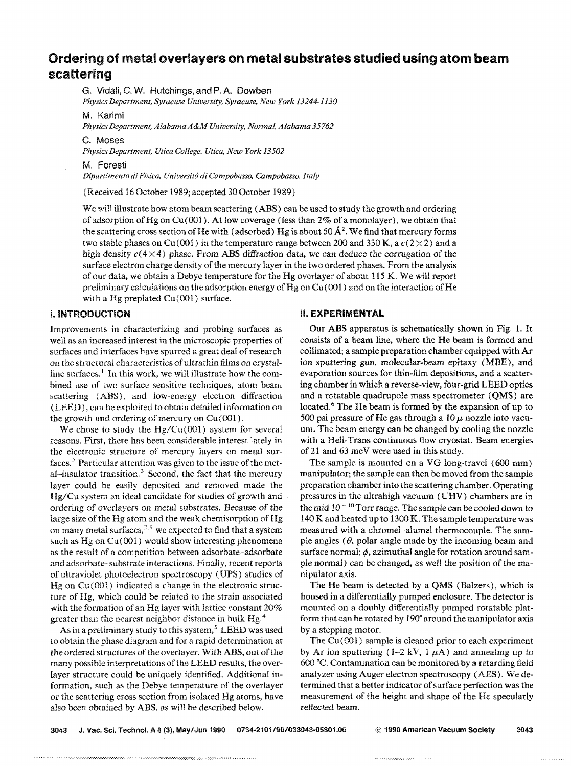### **Ordering of metal overlayers on metal substrates studied using atom beam scattering**

G. **Vidali,** G. **W.** Hutehings, **and** P. **A. Dswben** 

*Physics Department, Syracuse University, Syracuse, New York 13244-1130* 

M. Karimi

*Physics Department, Alabama A&M University, Normal, Alabama 35762* 

C. **Moses** 

*Physics Department, Utica College, Utica, New York 13502* 

**bt** Foresti

*D@artimento* di *Fisiea, hiirive~~itd* **di** *Campohasso, Cempobasso, Italy* 

(Received I6 October 1989; accepted 30 October **1089)** 

We **wil** illustrate how atom beam scattering **(ABS)** can be used to study the growth and ordering of adsorption of Hg on Cu(001). At low coverage (less than 2% of a monolayer), we obtain that the scattering cross section of He with (adsorbed) **Hg** is about 50 **A'.** We find that mercury forms two stable phases on Cu(001) in the temperature range between 200 and 330 K, a  $c(2\times2)$  and a high density  $c(4\times4)$  phase. From ABS diffraction data, we can deduce the corrugation of the surface electron charge density of the mercury layer in the two ordered phases. From the analysis of our data, we obtain a Bebye temperature for the **Wg** overlayer of about 11 **5** K. We will report preliminary calculations on the adsorption energy of Hg on  $Cu(001)$  and on the interaction of He with a Hg preplated Cu(001) surface.

surfaces and interfaces have spurred a great deal of research bined use of two surface sensitive techniques, atom beam (LEED), can be exploited to obtain detailed information on the growth and ordering of mercury on Cu(001). **500** psi pressure of He gas through a  $10 \mu$  nozzle into vacu-

reasons. First, there has been considerable interest lately in with a Heli-Trans continuous flow cryostat. Beam energies the electronic structure of mercury layers on metal sur-<br>of 21 and 63 meV were used in this study. the electronic structure of mercury layers on metal surfaces.<sup>2</sup> Particular attention was given to the issue of the met-<br>al-insulator transition.<sup>3</sup> Second, the fact that the mercury manipulator; the sample can then be moved from the sample layer could be easily deposited and removed made the preparation chamber into the scattering chamber. Operating Hg/Cu system an ideal candidate for studies of growth and pressures in the ultrahigh vacuum **(UHV)** chambers are in ordering of overlayers on metal substrates. Because of the the mid  $10<sup>-10</sup>$  Torr range. The sample can be cooled down to large size of the Hg atom and the weak chemisorption of Hg  $140$  K and heated up to 1300 K. The sample temperature was on many metal surfaces,<sup>2,3</sup> we expected to find that a system measured with a chromel-alumel thermoco on many metal surfaces, $^{2,3}$  we expected to find that a system such as Hg on Cu(001) would show interesting phenomena ple angles ( $\theta$ , polar angle made by the incoming beam and as the result of a competition between adsorbate—adsorbate—surface normal;  $\phi$ , azimuthal angle for rotat and adsorbate-substrate interactions. Finally, recent reports ple normal) can be changed, as well the position of the maof ultraviolet photoelectron spectroscopy (UPS) studies of nipulator axis. Hg on Cu(Ob)l) indicated a change in the electronic struc- The He beam is detected by a **QMS** (Balzers), which is ture of Hg, which could be reiatcd to the strain associated housed in a differentially pumped endosure. The detector is with the formation of an Hg layer with lattice constant 20% mounted on a doubly differentially pumped rotatable platgreater than the nearest neighbor distance in bulk Hg.<sup>4</sup> form that can be rotated by 190° around the manipulator axis

As in a preliminary study to this system, $^S$  LEED was used by a stepping motor. to obtain the phase diagram and for a rapid determination at The Cu(001) sample is cleaned prior to each experiment layer structure could be uniquely identified. Additional in-<br>analyzer using Auger electron spectroscopy (AES). We deor the scattering cross section from isolated Hg atoms, have measurement sf the height and shape of the He specularly also been obtained by ABS, as will be described below. reflected beam.

#### **I. INTRODUCTION 81, AND REALLY REALLY BE SEEN ASSESSED BY A REALLY AND REALLY BE SEEN ASSESS**

Improvements in characterizing and probing surfaces as Our ABS apparatus is schematically shown in Fig. 1. It well as an increased interest in the microscopic properties of consists of a beam line, where the He beam is for well as an increased interest in the microscopic properties of consists of a beam line, where the He beam is formed and<br>surfaces and interfaces have spurred a great deal of research collimated; a sample preparation chamber on the structural characteristics of ultrathin films on crystal-<br>line surfaces.<sup>1</sup> In this work, we will illustrate how the com-<br>evaporation sources for thin-film depositions, and a scatterline surfaces.<sup>1</sup> In this work, we will illustrate how the com-<br>bined use of two surface sensitive techniques, atom beam ing chamber in which a reverse-view, four-grid LEED optics scattering (ABS), and low-energy electron diffraction and a rotatable quadrupole mass spectrometer **(QMS)** are **(LEED)**, can be exploited to obtain detailed information on located.<sup>6</sup> The He beam is formed by the expansion We chose to study the Hg/Cu(001) system for several um. The beam energy can be changed by cooling the nozzle

> manipulator; the sample can then be moved from the sample surface normal;  $\phi$ , azimuthal angle for rotation around sam-

the ordered structures of the overlayer. With ABS, out of the by Ar ion sputtering  $(1-2 kV, 1 \mu A)$  and annealing up to many possible interpretations of the LEED results, the over- 600 °C. Contamination can be monitored by a retarding field formation, such as the Debye temperature of the overlayer termined that a better indicator of surface perfection was the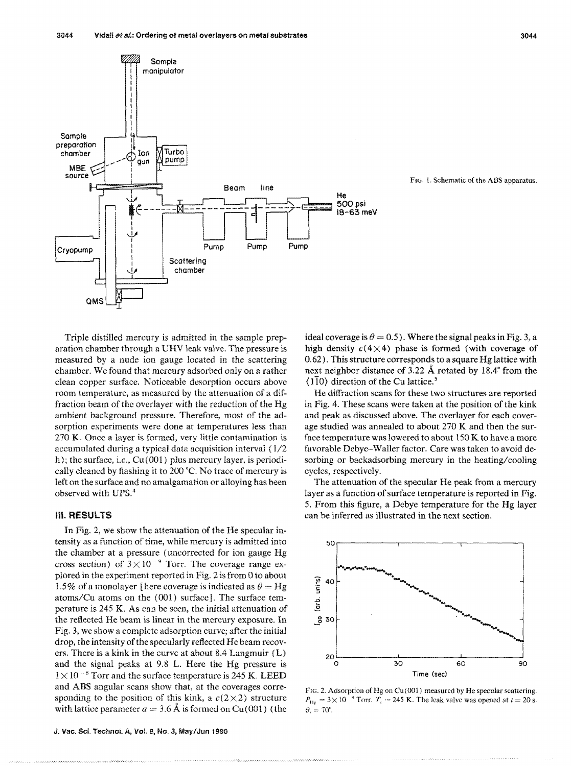

**FIG. 1.** Schematic of the ABS apparatus.

Triple distilled mercury is admitted in the sample preparation chamber through a UHV leak valve. The pressure **is**  measured by a nude ion gauge located in the scattering chamber. We found that mercury adsorbed only on a rather clean copper surface. Noticeable desorption occurs above room temperature, as measured by the attenuation of a diffraction beam of the overlayer with the reduction of the Hg ambient background pressure. Therefore, most of the adsorption experiments were done at temperatures less than 270 **K.** Once a Iayer is formed, very little contamination is accumulated during a typical data acquisition interval ( 1/2 h); the surface, i.e.,  $Cu(001)$  plus mercury layer, is periodically cleaned by flashing it to 200 °C. No trace of mercury is left on the surface and no amalgamation or alloying has been observed with UPS."

#### **111. RESULTS**

In Fig. 2, we show the attenuation of the He specular intensity as a function of time, while mercury is admitted into the chamber at a pressure (uncorrected for ion gauge Hg cross section) of  $3 \times 10^{-9}$  Torr. The coverage range explored in the experiment reported in Fig. 2 is from 0 to about 1.5% of a monolayer [here coverage is indicated as  $\theta = Hg$ atoms/Cu atoms on the  $(001)$  surface]. The surface temperature is 245 K. As can be seen, the initial attenuation of the reflected He beam is linear in the mercury exposure. In Fig. 3, we show a complete adsorption curve; after the initial drop, the intensity of the specularly reflected He beam recovers. There is a kink in the curve at about 8.4 Langmuir (L) and the signal peaks at 9.8 L. Here the Hg pressure is  $1 \times 10^{-8}$  Torr and the surface temperature is 245 K. LEED and ABS angular scans show that, at the coverages corresponding to the position of this kink, a  $c(2\times2)$  structure with lattice parameter  $a = 3.6$  Å is formed on Cu(001) (the ideal coverage is  $\theta = 0.5$ ). Where the signal peaks in Fig. 3, a high density  $c(4\times4)$  phase is formed (with coverage of *0.62).* This structure corresponds to a square Hg lattice with next neighbor distance of 3.22 Å rotated by 18.4° from the  $(110)$  direction of the Cu lattice.<sup>5</sup>

He diffraction scans for these two structures are reported in Fig. 4. These scans were taken at the position of the kink and peak as discussed above. The overlayer for each coverage studied was annealed to about 370 K and then the surface temperature was lowered to ahout 150 K to have a more favorable Debye-Waller factor. Care was taken to avoid desorbing or backadsorbing mercury in the heating/cooling cycles, respectively.

The attenuation of the specular He **peak** from a mercury Iayer as a function of surface temperature is reported in Fig. 5. From this figure, a Debye temperature for the Ng layer can be inferred as illustrated in the next section.



FIG. 2. Adsorption of **Hg** on Cu(001) measured by He specular scattering.  $P_{\text{He}} = 3 \times 10^{-9}$  Torr.  $T_s = 245$  K. The leak valve was opened at  $t = 20$  s.  $\theta_i = 70^\circ$ .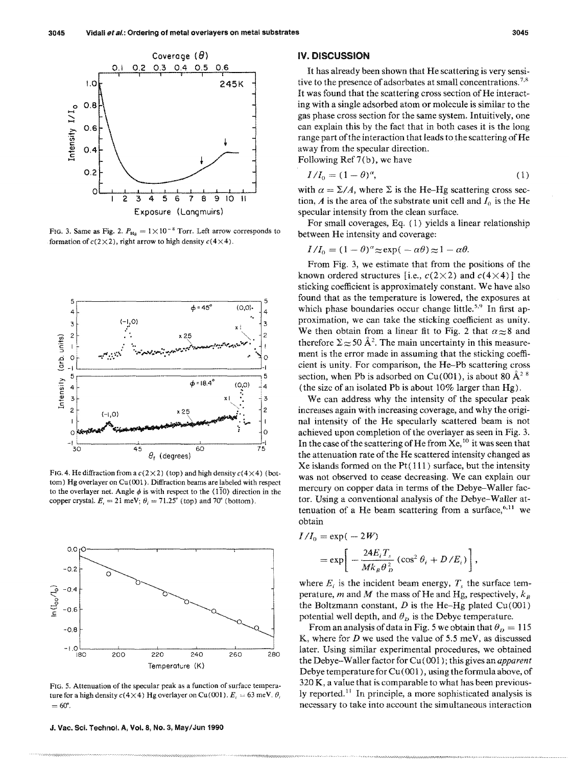

FIG. 3. Same as Fig. 2.  $P_{\text{Hg}} = 1 \times 10^{-8}$  Torr. Left arrow corresponds to formation of  $c(2\times2)$ , right arrow to high density  $c(4\times4)$ .



FIG. 4. He diffraction from a  $c(2\times2)$  (top) and high density  $c(4\times4)$  (bottom) **Hg** overlayer on **Cu(001).** Diffraction beams are labeled with respect to the overlayer net. Angle  $\phi$  is with respect to the  $\langle 1\overline{1}0 \rangle$  direction in the copper crystal.  $E_i = 21$  meV;  $\theta_i = 71.25^{\circ}$  (top) and 70° (bottom).



FIG. 5. Attenuation of the specular peak as a function of surface temperature for a high density  $c(4\times4)$  Hg overlayer on Cu(001).  $E_i = 63$  meV.  $\theta_i$  $= 60^\circ$ .

**9. Mac. Sci. Techno!. A, Vsl. 8, Ns. 3, May/Jun 1990** 

#### **IV. DISCUSSION**

It has already been shown that He scattering is very sensitive to the presence of adsorbates at small concentrations.<sup> $7,8$ </sup> It was found that the scattering cross section of He interacting with a single adsorbed atom or molecule is similar to the gas phase cross section for the same system. Intuitively, one can explain this by the fact that in both cases it is the long range part of the interaction that leads to the scattering of He away from the specular direction.

Following Ref 7(b), we have

$$
I/I_0 = (1 - \theta)^{\alpha},
$$
 (1)

with  $\alpha = \Sigma/A$ , where  $\Sigma$  is the He-Hg scattering cross section, *A* is the area of the substrate unit cell and  $I_0$  is the He specular intensity from the clean surface.

For small coverages, Eq.  $(1)$  yields a linear relationship " between He intensity and coverage:<br>
to between He intensity and coverage:

$$
I/I_0 = (1 - \theta)^{\alpha} \approx \exp(-\alpha \theta) \approx 1 - \alpha \theta.
$$

From Fig. 3, we estimate that from the positions of the known ordered structures [i.e.,  $c(2\times2)$  and  $c(4\times4)$ ] the sticking coefficient is approximately constant. We have also found that as the temperature is lowered, the exposures at which phase boundaries occur change little.<sup>5,9</sup> In first approximation, we can take the sticking coefficient as unity. We then obtain from a linear fit to Fig. 2 that  $\alpha \approx 8$  and therefore  $\Sigma \approx 50 \text{ Å}^2$ . The main uncertainty in this measurement is the error made in assuming that the sticking coeficient is unity. For comparison, the He-Pb scattering cross section, when Pb is adsorbed on Cu(001), is about 80  $\AA$ <sup>2 8</sup> (the size of an isolated Pb is about 10% larger than **Hg).** 

We can address why the intensity **of** the specular peak increases again with increasing coverage, and why the original intensity of the He specularly scattered beam is not achieved upon completion of the overhayer as seen in Fig. 3. In the case of the scattering of He from  $Xe<sub>10</sub>$  it was seen that the attenuation rate of the He scattered intensity changed as Xe islands formed on the Pt $(111)$  surface, but the intensity was not observed to cease decreasing. We can explain our mercury on copper data in terms of the Debye-Waller factor. Using a conventional analysis of the Debye-Waller attenuation of a He beam scattering from a surface, $6.11$  we obtain

$$
I/I_0 = \exp(-2W)
$$
  
=  $\exp\left[-\frac{24E_iT_s}{Mk_B\theta_D^2}(\cos^2\theta_i + D/E_i)\right]$ 

where  $E_i$  is the incident beam energy,  $T_s$  the surface temperature,  $m$  and  $M$  the mass of He and Hg, respectively,  $k_B$ the Boltzmann constant,  $D$  is the He-Hg plated Cu(001) potential well depth, and  $\theta_D$  is the Debye temperature.

From an analysis of data in Fig. 5 we obtain that  $\theta_p = 115$ K, where for *D* we used the value of 5.5 meV, as discussed later. Using similar experimental procedures, we obtained the Debye-WalIer factor for *Gn* (001 ); this gives an **upparent**  Debye temperature for  $Cu(001)$ , using the formula above, of  $320 K$ , a value that is comparable to what has been previously reported." In principle, a more sophisticated analysis is necessary to take into account the simultaneous interaction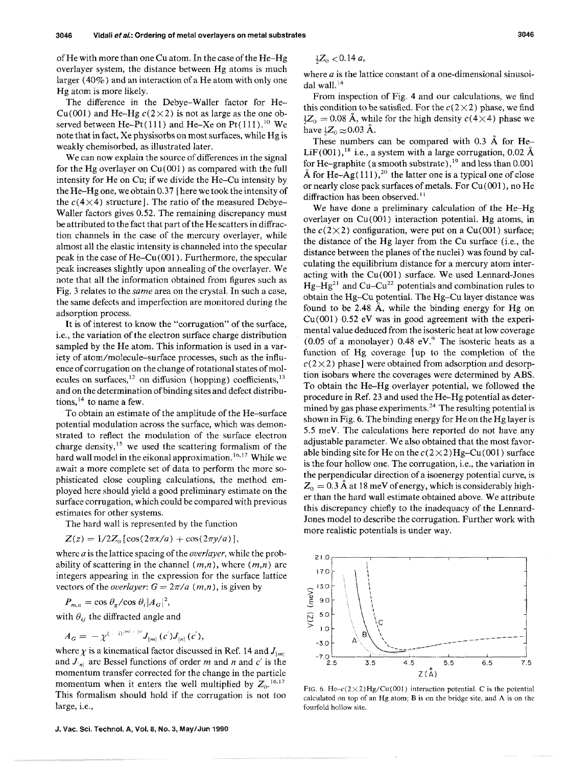of He with more than one Cu atom. In the case of the He-Hg overlayer system, the distance between IIg atoms is much larger (40%) and an interaction of a He atom with only one Hg atom is more likely.

The difference in the Bebye-Waller factor for He- $Cu(001)$  and He-Hg  $c(2\times2)$  is not as large as the one observed between He-Pt $(111)$  and He-Xe on Pt $(111)$ , <sup>10</sup> We note that in fact, Xe physisorbs on most surfaces, while Hg is weakly chemisorbed, as illustrated later.

We can now explain the source of differences in the signal for the Hg overlayer on Cu(001) as compared with the full intensity for Me on Cu; if we divide the He-Cu intensity by the He-Hg one, we obtain 0.37 [here we took the intensity of the  $c(4\times4)$  structure]. The ratio of the measured Debye-Waller factors gives 0.52. The remaining discrepancy must be attributed to the fact that part of the He scatters in diffraction channels in the case of the mercury overlayer, while almost all the elastic intensity is channeled into the specular peak in the case of  $He-Cu(001)$ . Furthermore, the specular peak increases slightly upon annealing of the overlayer. We note that all the information obtained from figures such as Fig. 3 relates to the same area on the crystai. In such a ease, the same defects and imperfection are monitored during the adsorption process.

It is of interest to know the "corrugation" of the surface, i.e., the variation of the electron surface charge distribution sampled by the He atom. This information is used in a variety of atom/molecule-surface processes, such as the influence of corrugation on the change of rotational states of molecules on surfaces, $^{12}$  on diffusion (hopping) coefficients, $^{13}$ and on the determination of binding sites and defect distributions,  $14$  to name a few.

To obtain an estimate of the amplitude of the He-surface potential modulation across the surface, which was demonstrated to reflect the modulation of the surface electron charge density,<sup>15</sup> we used the scattering formalism of the hard wall model in the eikonal approximation.<sup>16,17</sup> While we await a more complete set of data to perform the more sophisticated close coupling calculations, the method employed here should yield a good preliminary estimate on the surface corrugation, which could be compared with previous estimates for other systems.

The hard wall is represented by the function

$$
Z(z) = 1/2Z_0 [\cos(2\pi x/a) + \cos(2\pi y/a)],
$$

where *a* is the lattice spacing of the *overlayer*, while the probability of scattering in the channel  $(m,n)$ , where  $(m,n)$  are integers appearing in the expression for the surface lattice vectors of the *overlayer*:  $G = 2\pi/a$  (*m,n*), is given by

 $P_{m,n} = \cos \theta_g / \cos \theta_i / A_G |^2$ ,

with  $\theta_G$  the diffracted angle and

$$
A_G=-\chi^{(-|D|^{m|+|n})}J_{|m|}(c^{'})J_{|n|}(c^{'}),
$$

and  $J_{1n}$  are Bessel functions of order *m* and *n* and *c'* is the  $2.5$   $3.5$   $4.5$   $5.5$   $6.5$   $7.5$ momentum transfer corrected for the change in the particle  $Z(\tilde{A})$ momentum when it enters the well multiplied by  $Z_0$ .<sup>16,17</sup><br>This formalism should hold if the corrugation is not too<br>large, i.e.,<br>fourfold hollow site.<br>fourfold hollow site.

**J. Vac. Sci. Technol. A, Vol. 8, No. 3, MaylJun 1990** 

$$
\frac{1}{2}Z_0 < 0.14 \, a,
$$

where  $a$  is the lattice constant of a one-dimensional sinusoidal wall.<sup>14</sup>

From inspection of Fig. 4 and our calculations, we find this condition to be satisfied. For the  $c(2\times2)$  phase, we find  $\frac{1}{2}Z_0 = 0.08$  Å, while for the high density  $c(4\times4)$  phase we have  $\frac{1}{2}Z_0 \approx 0.03$  Å.

These numbers can be compared with  $0.3 \text{ Å}$  for He-LiF(001),<sup>18</sup> i.e., a system with a large corrugation, 0.02 Å for He-graphite (a smooth substrate),  $^{19}$  and less than 0.001 Å for  $He-Ag(111)$ ,<sup>20</sup> the latter one is a typical one of close or nearly close pack surfaces of metals. FOP **CU** (001 ) , no He diffraction has been observed.<sup>11</sup>

We have done a preliminary calculation of the He-Hg overlayer on Cu(001) interaction potential. Hg atoms, in the  $c(2\times2)$  configuration, were put on a Cu(001) surface; the distance of the **Hg** layer from the Cu surface (i.e., the distance between the planes of the nuclei) was found by calculating the equilibrium distance for a mercury atom interacting with the  $Cu(001)$  surface. We used Lennard-Jones  $Hg-Hg^{21}$  and Cu–Cu<sup>22</sup> potentials and combination rules to obtain the Hg-Cu potential. The Hg-Cu layer distance was found to be 2.48  $\AA$ , while the binding energy for Hg on  $Cu(001)$  0.52 eV was in good agreement with the experimental value deduced from the isosteric heat at low coverage (0.05 of a monolayer)  $0.48$  eV.<sup>9</sup> The isosteric heats as a function of  $Hg$  coverage  $\lceil$  up to the completion of the  $c(2\times2)$  phase] were obtained from adsorption and desorption isobars where the coverages were determined by ABS. To obtain the He-Hg overlayer potential, we followed the procedure in Ref. 23 and used the He-Hg potential as determined by gas phase experiments. $24$  The resulting potential is shown in Fig. 6. The binding energy for He on the Hg layer is 5.5 meV. The calculations here reported do not have any adjustable parameter. We also obtained that the most favorable binding site for He on the  $c(2\times2)$  Hg–Cu(001) surface is the four hollow one. The corrugation, i.e., the variation in the perpendicular direction of a isoenergy potential curve, is  $Z_0 = 0.3 \text{ Å}$  at 18 meV of energy, which is considerably higher than the hard wall estimate obtained above. We attribute this discrepancy chiefly to the inadequacy of the Lennard-Jones model to describe the corrugation. Further work with more realistic potentials is under way.



fourfold hollow site.